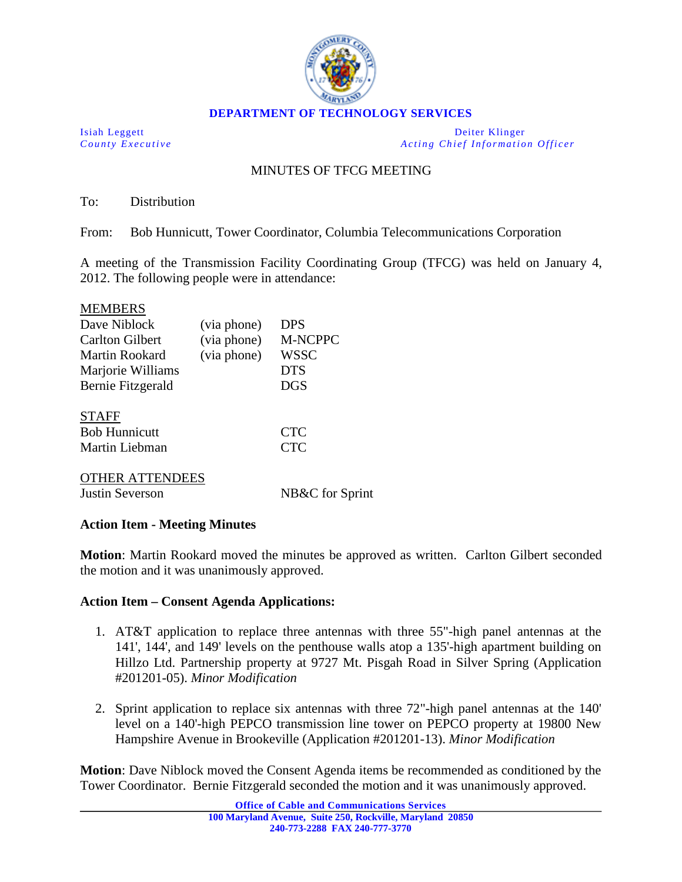

Isiah Leggett Deiter Klinger *County Executive Acting Chief Information Officer*

## MINUTES OF TFCG MEETING

To: Distribution

From: Bob Hunnicutt, Tower Coordinator, Columbia Telecommunications Corporation

A meeting of the Transmission Facility Coordinating Group (TFCG) was held on January 4, 2012. The following people were in attendance:

| <b>MEMBERS</b>         |             |                 |
|------------------------|-------------|-----------------|
| Dave Niblock           | (via phone) | <b>DPS</b>      |
| Carlton Gilbert        | (via phone) | <b>M-NCPPC</b>  |
| Martin Rookard         | (via phone) | <b>WSSC</b>     |
| Marjorie Williams      |             | <b>DTS</b>      |
| Bernie Fitzgerald      |             | <b>DGS</b>      |
| <b>STAFF</b>           |             |                 |
| <b>Bob Hunnicutt</b>   |             | <b>CTC</b>      |
| Martin Liebman         |             | <b>CTC</b>      |
| <b>OTHER ATTENDEES</b> |             |                 |
| Justin Severson        |             | NB&C for Sprint |
|                        |             |                 |

## **Action Item - Meeting Minutes**

**Motion**: Martin Rookard moved the minutes be approved as written. Carlton Gilbert seconded the motion and it was unanimously approved.

## **Action Item – Consent Agenda Applications:**

- 1. AT&T application to replace three antennas with three 55"-high panel antennas at the 141', 144', and 149' levels on the penthouse walls atop a 135'-high apartment building on Hillzo Ltd. Partnership property at 9727 Mt. Pisgah Road in Silver Spring (Application #201201-05). *Minor Modification*
- 2. Sprint application to replace six antennas with three 72"-high panel antennas at the 140' level on a 140'-high PEPCO transmission line tower on PEPCO property at 19800 New Hampshire Avenue in Brookeville (Application #201201-13). *Minor Modification*

**Motion**: Dave Niblock moved the Consent Agenda items be recommended as conditioned by the Tower Coordinator. Bernie Fitzgerald seconded the motion and it was unanimously approved.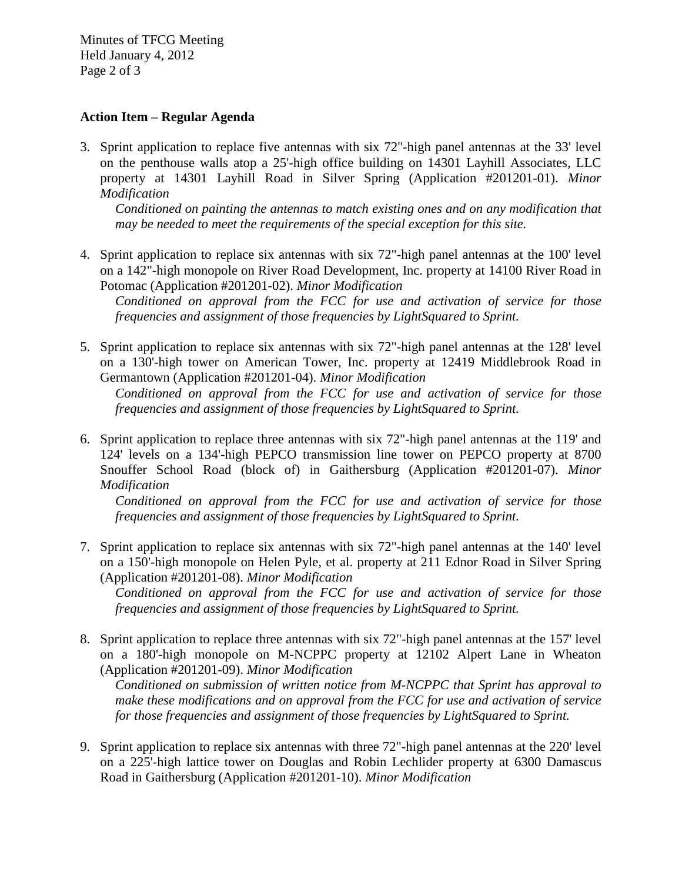Minutes of TFCG Meeting Held January 4, 2012 Page 2 of 3

## **Action Item – Regular Agenda**

3. Sprint application to replace five antennas with six 72"-high panel antennas at the 33' level on the penthouse walls atop a 25'-high office building on 14301 Layhill Associates, LLC property at 14301 Layhill Road in Silver Spring (Application #201201-01). *Minor Modification*

*Conditioned on painting the antennas to match existing ones and on any modification that may be needed to meet the requirements of the special exception for this site.*

4. Sprint application to replace six antennas with six 72"-high panel antennas at the 100' level on a 142"-high monopole on River Road Development, Inc. property at 14100 River Road in Potomac (Application #201201-02). *Minor Modification*

*Conditioned on approval from the FCC for use and activation of service for those frequencies and assignment of those frequencies by LightSquared to Sprint.* 

5. Sprint application to replace six antennas with six 72"-high panel antennas at the 128' level on a 130'-high tower on American Tower, Inc. property at 12419 Middlebrook Road in Germantown (Application #201201-04). *Minor Modification*

*Conditioned on approval from the FCC for use and activation of service for those frequencies and assignment of those frequencies by LightSquared to Sprint.* 

6. Sprint application to replace three antennas with six 72"-high panel antennas at the 119' and 124' levels on a 134'-high PEPCO transmission line tower on PEPCO property at 8700 Snouffer School Road (block of) in Gaithersburg (Application #201201-07). *Minor Modification*

*Conditioned on approval from the FCC for use and activation of service for those frequencies and assignment of those frequencies by LightSquared to Sprint.* 

7. Sprint application to replace six antennas with six 72"-high panel antennas at the 140' level on a 150'-high monopole on Helen Pyle, et al. property at 211 Ednor Road in Silver Spring (Application #201201-08). *Minor Modification*

*Conditioned on approval from the FCC for use and activation of service for those frequencies and assignment of those frequencies by LightSquared to Sprint.*

8. Sprint application to replace three antennas with six 72"-high panel antennas at the 157' level on a 180'-high monopole on M-NCPPC property at 12102 Alpert Lane in Wheaton (Application #201201-09). *Minor Modification*

*Conditioned on submission of written notice from M-NCPPC that Sprint has approval to make these modifications and on approval from the FCC for use and activation of service for those frequencies and assignment of those frequencies by LightSquared to Sprint.*

9. Sprint application to replace six antennas with three 72"-high panel antennas at the 220' level on a 225'-high lattice tower on Douglas and Robin Lechlider property at 6300 Damascus Road in Gaithersburg (Application #201201-10). *Minor Modification*